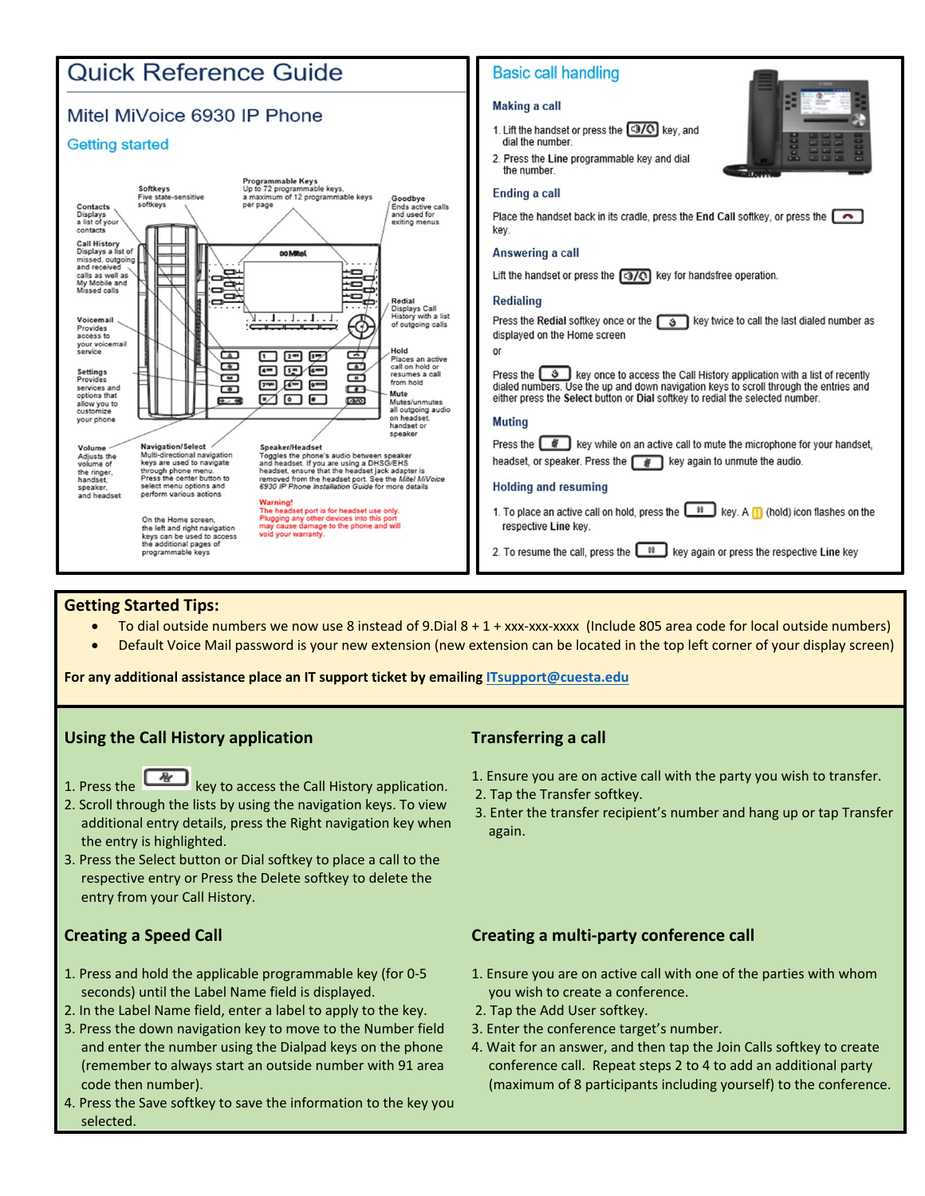

## **Getting Started Tips:**

- To dial outside numbers we now use 8 instead of 9.Dial 8 + 1 + xxx-xxx-xxxx (Include 805 area code for local outside numbers)
- Default Voice Mail password is your new extension (new extension can be located in the top left corner of your display screen)

**For any additional assistance place an IT support ticket by emailing [ITsupport@cuesta.edu](mailto:ITsupport@cuesta.edu)**

## **Using the Call History application**

- 1. Press the key to access the Call History application.
- 2. Scroll through the lists by using the navigation keys. To view additional entry details, press the Right navigation key when the entry is highlighted.
- 3. Press the Select button or Dial softkey to place a call to the respective entry or Press the Delete softkey to delete the entry from your Call History.

# **Creating a Speed Call**

- 1. Press and hold the applicable programmable key (for 0-5 seconds) until the Label Name field is displayed.
- 2. In the Label Name field, enter a label to apply to the key.
- 3. Press the down navigation key to move to the Number field and enter the number using the Dialpad keys on the phone (remember to always start an outside number with 91 area code then number).
- 4. Press the Save softkey to save the information to the key you selected.

# **Transferring a call**

- 1. Ensure you are on active call with the party you wish to transfer.
- 2. Tap the Transfer softkey.
- 3. Enter the transfer recipient's number and hang up or tap Transfer again.

# **Creating a multi-party conference call**

- 1. Ensure you are on active call with one of the parties with whom you wish to create a conference.
- 2. Tap the Add User softkey.
- 3. Enter the conference target's number.
- 4. Wait for an answer, and then tap the Join Calls softkey to create conference call. Repeat steps 2 to 4 to add an additional party (maximum of 8 participants including yourself) to the conference.